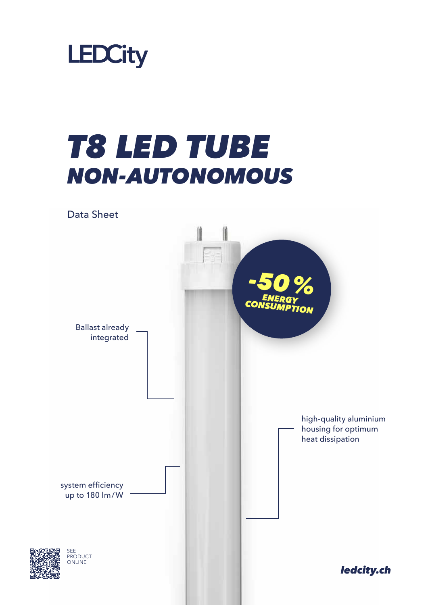

## *T8 LED TUBE NON-AUTONOMOUS*

Data Sheet